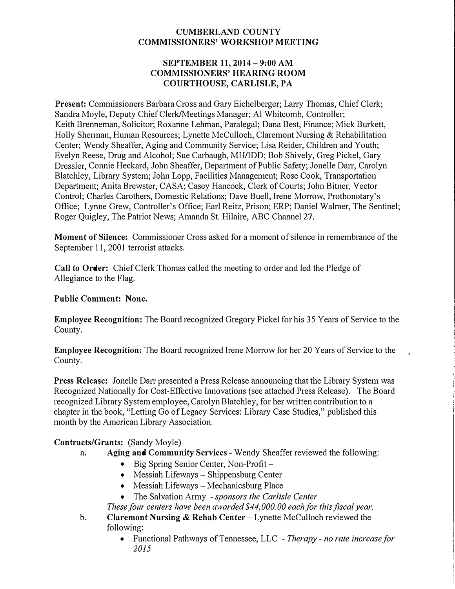## **CUMBERLAND COUNTY COMMISSIONERS' WORKSHOP MEETING**

#### **SEPTEMBER 11, 2014 - 9:00 AM COMMISSIONERS' HEARING ROOM COURTHOUSE, CARLISLE, PA**

**Present:** Commissioners Barbara Cross and Gary Eichelberger; Larry Thomas, Chief Clerk; Sandra Moyle, Deputy Chief Clerk/Meetings Manager; Al Whitcomb, Controller; Keith Brenneman, Solicitor; Roxanne Lehman, Paralegal; Dana Best, Finance; Mick Burkett, Holly Sherman, Human Resources; Lynette McCulloch, Claremont Nursing & Rehabilitation Center; Wendy Sheaffer, Aging and Community Service; Lisa Reider, Children and Youth; Evelyn Reese, Drug and Alcohol; Sue Carbaugh, MH/IDD; Bob Shively, Greg Pickel, Gary Dressler, Connie Heckard, John Sheaffer, Department of Public Safety; Jonelle Darr, Carolyn Blatchley, Library System; John Lopp, Facilities Management; Rose Cook, Transportation Department; Anita Brewster, CASA; Casey Hancock, Clerk of Courts; John Bitner, Vector Control; Charles Carothers, Domestic Relations; Dave Buell, Irene Morrow, Prothonotary's Office; Lynne Grew, Controller's Office; Earl Reitz, Prison; ERP; Daniel Walmer, The Sentinel; Roger Quigley, The Patriot News; Amanda St. Hilaire, ABC Channel 27.

**Moment of Silence:** Commissioner Cross asked for a moment of silence in remembrance of the September 11, 2001 terrorist attacks.

**Call to Order:** Chief Clerk Thomas called the meeting to order and led the Pledge of Allegiance to the Flag.

### **Public Comment: None.**

**Employee Recognition:** The Board recognized Gregory Pickel for his 35 Years of Service to the County.

**Employee Recognition:** The Board recognized Irene Morrow for her 20 Years of Service to the County.

**Press Release:** Jonelle Darr presented a Press Release announcing that the Library System was Recognized Nationally for Cost-Effective Innovations (see attached Press Release). The Board recognized Library System employee, Carolyn Blatchley, for her written contribution to a chapter in the book, "Letting Go of Legacy Services: Library Case Studies," published this month by the American Library Association.

### **Contracts/Grants:** (Sandy Moyle)

- a. **Aging and Community Services**  Wendy Sheaffer reviewed the following:
	- Big Spring Senior Center, Non-Profit –
	- Messiah Lifeways Shippensburg Center
	- Messiah Lifeways Mechanicsburg Place
	- The Salvation Army *sponsors the Carlisle Center*

*These four centers have been awarded \$44,000.00 each for this fiscal year.* 

- **b. Claremont Nursing** & **Rehab Center**  Lynette McCulloch reviewed the following:
	- Functional Pathways of Tennessee, LLC *Therapy no rate increase for 2015*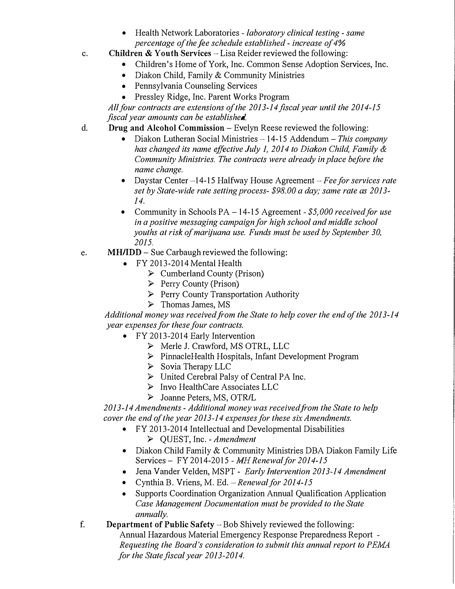- Health Network Laboratories *laboratory clinical testing same percentage of the fee schedule established* - *increase of 4%*
- c. **Children** & **Youth Services**  Lisa Reider reviewed the following:
	- Children's Home of York, Inc. Common Sense Adoption Services, Inc.
	- Diakon Child, Family & Community Ministries
	- Pennsylvania Counseling Services
	- Pressley Ridge, Inc. Parent Works Program

*All/our contracts are extensions of the 2013-14 fiscal year until the 2014-15 fiscal year amounts can be established* 

- d. **Drug and Alcohol Commission** -Evelyn Reese reviewed the following:
	- Diakon Lutheran Social Ministries 14-15 Addendum This company *has changed its name effective July 1, 2014 to Diakon Child, Family & Community 1\Iinistries. The contracts were already in place before the name change.*
	- Daystar Center -14-15 Halfway House Agreement *Fee for services rate set by State-wide rate setting process- \$98.00 a day; same rate as 2013- 14.*
	- Community in Schools PA 14-15 Agreement \$5,000 received for use *in a positive messaging campaign for high school and middle school youths at risk of marijuana use. Funds must be used by September 30, 2015.*
- e. **MH/IDD**-Sue Carbaugh reviewed the following:
	- FY 2013-2014 Mental Health
		- ► Cumberland County (Prison)
		- $\triangleright$  Perry County (Prison)
		- $\triangleright$  Perry County Transportation Authority
		- ► Thomas James, MS

*Additional money was received from the State to help cover the end of the 2013-14 year expenses for these four contracts.* 

- FY 2013-2014 Early Intervention
	- ► Merle J. Crawford, MS OTRL, LLC
	- ► PinnacleHealth Hospitals, Infant Development Program
	- ► Sovia Therapy LLC
	- ► United Cerebral Palsy of Central PA Inc.
	- ► Invo HealthCare Associates LLC
	- ► Joanne Peters, MS, OTR/L

*2013-14 Amendments* - *Additional money was received from the State to help cover the end of the year 2013 -14 expenses for these six Amendments.* 

- FY 2013-2014 Intellectual and Developmental Disabilities ► QUEST, Inc. - *Amendment*
- Diakon Child Family & Community Ministries DBA Diakon Family Life Services - FY 2014-2015 - *MH Renewal for 2014-15*
- Jena Vander Velden, MSPT *Early Intervention 2013-14 Amendment*
- Cynthia B. Vriens, M. Ed. *-Renewal for 2014-15*
- Supports Coordination Organization Annual Qualification Application *Case Management Documentation must be provided to the State annually.*
- f. **Department of Public Safety-** Bob Shively reviewed the following: Annual Hazardous Material Emergency Response Preparedness Report - *Requesting the Board's consideration to submit this annual report to PElvfA for the State fiscal year 2013-2014.*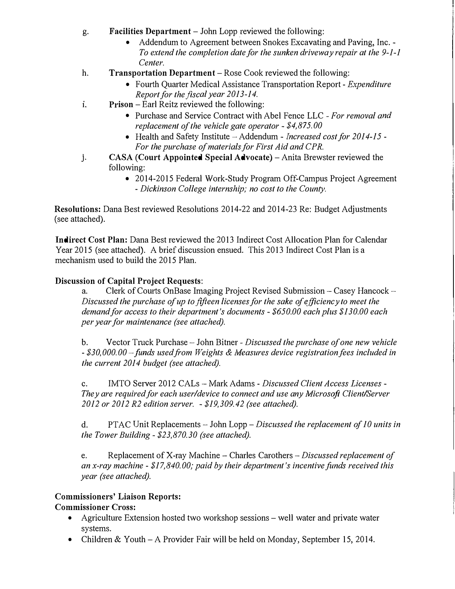- g. **Facilities Department** -John Lopp reviewed the following:
	- Addendum to Agreement between Snokes Excavating and Paving, Inc. *To extend the completion date for the sunken driveway repair at the 9-1-1 Center.*
- h. **Transportation Department**-Rose Cook reviewed the following:
	- Fourth Quarter Medical Assistance Transportation Report *Expenditure Report for the fiscal year 2013-14.*
- **1. Prison**-Earl Reitz reviewed the following:
	- Purchase and Service Contract with Abel Fence LLC *For removal and replacement of the vehicle gate operator* - *\$4,875.00*
	- Health and Safety Institute Addendum *Increased cost for 2014-15 For the purchase of materials for First Aid and CPR.*
- j. **CASA (Court Appointed Special Advocate)** Anita Brewster reviewed the following:
	- 2014-2015 Federal Work-Study Program Off-Campus Project Agreement - *Dickinson College internship; no cost to the County.*

**Resolutions:** Dana Best reviewed Resolutions 2014-22 and 2014-23 Re: Budget Adjustments (see attached).

**Indirect Cost Plan:** Dana Best reviewed the 2013 Indirect Cost Allocation Plan for Calendar Year 2015 (see attached). A brief discussion ensued. This 2013 Indirect Cost Plan is a mechanism used to build the 2015 Plan.

## **Discussion of Capital Project Requests:**

a. Clerk of Courts OnBase Imaging Project Revised Submission  $-$  Casey Hancock  $-$ *Discussed the purchase of up to fifteen licenses for the sake of efficiency to meet the demand for access to their department's documents* - *\$650.00 each plus \$130.00 each per year for maintenance (see attached).* 

b. Vector Trnck Purchase - John Bitner - *Discussed the purchase of one new vehicle*  - *\$30,000.00-fimds usedfrom Weights & lvfeasures device registrationfees included in the current 2014 budget (see attached).* 

c. IMTO Server 2012 CALs -Mark Adams - *Discussed Client Access Licenses* - *They are required for each user/device to connect and use any Microsoft Client/Server 2012 or 2012 R2 edition server.* - *\$19,309.42 (see attached).* 

d. PTAC Unit Replacements-John *Lopp-Discussed the replacement of 10 units in the Tower Building - \$23,870.30 (see attached).* 

e. Replacement of X-ray Machine - Charles Carothers *-Discussed replacement of an x-ray machine* - *\$17,840.00; paid by their department's incentive funds received this year (see attached).* 

# **Commissioners' Liaison Reports:**

### **Commissioner Cross:**

- Agriculture Extension hosted two workshop sessions well water and private water systems.
- Children & Youth A Provider Fair will be held on Monday, September 15, 2014.